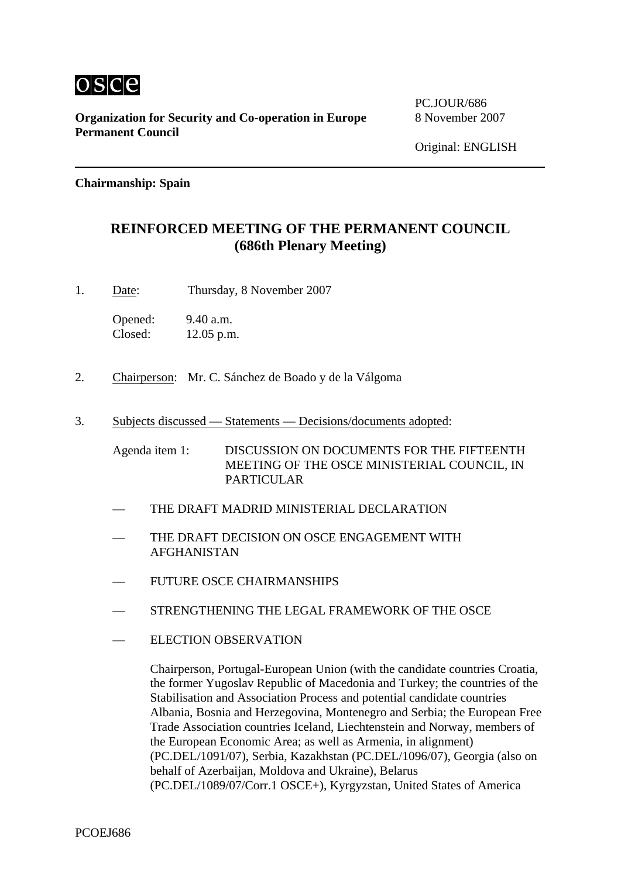

**Organization for Security and Co-operation in Europe** 8 November 2007 **Permanent Council** 

PC.JOUR/686

## **Chairmanship: Spain**

## **REINFORCED MEETING OF THE PERMANENT COUNCIL (686th Plenary Meeting)**

1. Date: Thursday, 8 November 2007

Opened: 9.40 a.m. Closed: 12.05 p.m.

- 2. Chairperson: Mr. C. Sánchez de Boado y de la Válgoma
- 3. Subjects discussed Statements Decisions/documents adopted:

Agenda item 1: DISCUSSION ON DOCUMENTS FOR THE FIFTEENTH MEETING OF THE OSCE MINISTERIAL COUNCIL, IN PARTICULAR

- THE DRAFT MADRID MINISTERIAL DECLARATION
- THE DRAFT DECISION ON OSCE ENGAGEMENT WITH AFGHANISTAN
- FUTURE OSCE CHAIRMANSHIPS
- STRENGTHENING THE LEGAL FRAMEWORK OF THE OSCE
- ELECTION OBSERVATION

Chairperson, Portugal-European Union (with the candidate countries Croatia, the former Yugoslav Republic of Macedonia and Turkey; the countries of the Stabilisation and Association Process and potential candidate countries Albania, Bosnia and Herzegovina, Montenegro and Serbia; the European Free Trade Association countries Iceland, Liechtenstein and Norway, members of the European Economic Area; as well as Armenia, in alignment) (PC.DEL/1091/07), Serbia, Kazakhstan (PC.DEL/1096/07), Georgia (also on behalf of Azerbaijan, Moldova and Ukraine), Belarus (PC.DEL/1089/07/Corr.1 OSCE+), Kyrgyzstan, United States of America